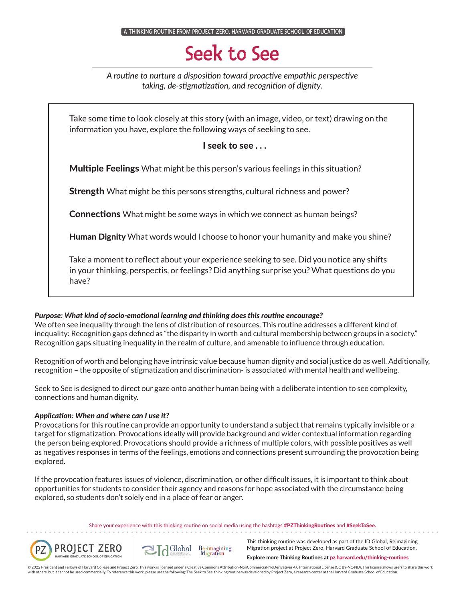$\,$  A THINKING ROUTINE FROM PROJECT ZERO, HARVARD GRADUATE SCHOOL OF EDUCAT

# Seek to See

*A routine to nurture a disposition toward proactive empathic perspective taking, de-stigmatization, and recognition of dignity.*

Take some time to look closely at this story (with an image, video, or text) drawing on the information you have, explore the following ways of seeking to see.

I seek to see . . .

**Multiple Feelings** What might be this person's various feelings in this situation?

**Strength** What might be this persons strengths, cultural richness and power?

**Connections** What might be some ways in which we connect as human beings?

Human Dignity What words would I choose to honor your humanity and make you shine?

Take a moment to reflect about your experience seeking to see. Did you notice any shifts in your thinking, perspectis, or feelings? Did anything surprise you? What questions do you have?

### *Purpose: What kind of socio-emotional learning and thinking does this routine encourage?*

We often see inequality through the lens of distribution of resources. This routine addresses a different kind of inequality: Recognition gaps defined as "the disparity in worth and cultural membership between groups in a society." Recognition gaps situating inequality in the realm of culture, and amenable to influence through education.

Recognition of worth and belonging have intrinsic value because human dignity and social justice do as well. Additionally, recognition – the opposite of stigmatization and discrimination- is associated with mental health and wellbeing.

Seek to See is designed to direct our gaze onto another human being with a deliberate intention to see complexity, connections and human dignity.

### *Application: When and where can I use it?*

Provocations for this routine can provide an opportunity to understand a subject that remains typically invisible or a target for stigmatization. Provocations ideally will provide background and wider contextual information regarding the person being explored. Provocations should provide a richness of multiple colors, with possible positives as well as negatives responses in terms of the feelings, emotions and connections present surrounding the provocation being explored.

If the provocation features issues of violence, discrimination, or other difficult issues, it is important to think about opportunities for students to consider their agency and reasons for hope associated with the circumstance being explored, so students don't solely end in a place of fear or anger.

> Share your experience with this thinking routine on social media using the hashtags #PZThinkingRoutines and #SeekToSee.





This thinking routine was developed as part of the ID Global, Reimagining Migration project at Project Zero, Harvard Graduate School of Education.

Explore more Thinking Routines at pz.harvard.edu/thinking-routines

© 2022 President and Fellows of Harvard College and Project Zero. This work is licensed under a Creative Commons Attribution-NonCommercial-NoDerivatives 4.0 International License (CC BY-NC-ND). This license allows users to with others, but it cannot be used commercially. To reference this work, please use the following: The Seek to See thinking routine was developed by Project Zero, a research center at the Harvard Graduate School of Educati